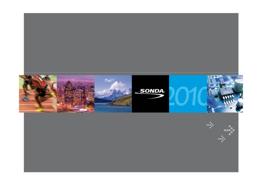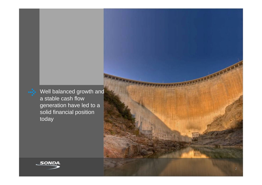Well balanced growth and a stable cash flow generation have led to a solid financial position today



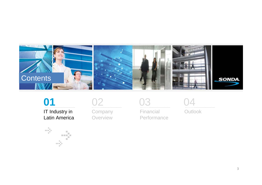



IT Industry in Latin America





**Company Overview** 



Financial Performance



Outlook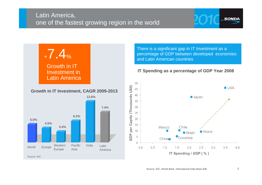

There is a significant gap in IT Investment as a percentage of GDP between developed economies and Latin American countries

#### **IT Spending as a percentage of GDP Year 2008**

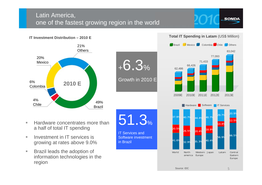# Latin America, one of the fastest growing region in the world





#### **IT Investment Distribution – 2010 E**



#### **Total IT Spending in Latam (US\$ Million)**



- $\overline{\phantom{a}}$  Hardware concentrates more than a half of total IT spending
- ш Investment in IT services is growing at rates above 9.0%
- $\blacksquare$  Brazil leads the adoption of information technologies in the region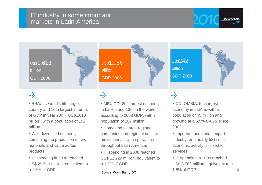

# -5

 BRAZIL, world's 5th largest country and 10th largest in terms of GDP in year 2007 (US\$1,613 billion), with a population of 192 million.

- Well diversified economy combining the production of raw materials and value added products
- IT spending in 2008 reached US\$ 29,610 million, equivalent to a 1.8% of GDP.

÷.

- MEXICO, 2nd largest economy in LatAm and 13th in the world according to 2008 GDP, with a population of 107 million.
- **Homeland to large regional** companies and regional base to multinationals with operations throughout Latin America.
- IT spending in 2008 reached US\$ 12,229 million, equivalent to a 1.2% of GDP.

Source: World Bank, IDC

# нŅ.

 COLOMBIA, 5th largest economy in LatAm, with a population of 45 million and growing at a 5.5% CAGR since 2002.

- **Important and varied export** industry, and nearly 53% of it economic activity is linked to services.
- IT spending in 2008 reached US\$ 3,562 million, equivalent to a 1.5% of GDP.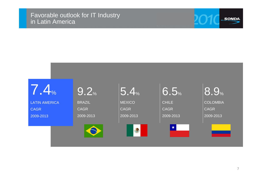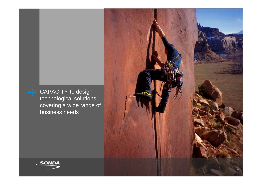

CAPACITY to design technological solutions covering a wide range of business needs



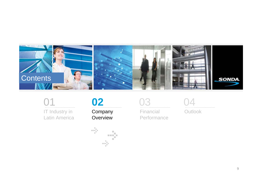



IT Industry in Latin America



Company Overview





Financial Performance



Outlook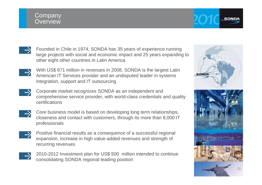## **Company Overview**





With US\$ 671 million in revenues in 2008, SONDA is the largest Latin American IT Services provider and an undisputed leader in systems integration, support and IT outsourcing



Corporate market recognizes SONDA as an independent and comprehensive service provider, with world-class credentials and quality certifications



Core business model is based on developing long term relationships, closeness and contact with customers, through its more than 8,000 IT professionals



Positive financial results as a consequence of a successful regional expansion, increase in high value-added revenues and strength of recurring revenues



2010-2012 Investment plan for US\$ 500 million intended to continue consolidating SONDA regional leading position

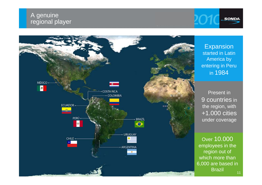# A genuine regional player



Expansion started in Latin America by entering in Peru in 1984

**SONDA** 

Present in 9 countries in the region, with +1.000 cities under coverage

Over 10.000 employees in the region out of which more than 6,000 are based in Brazil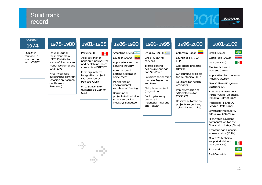# Solid track record



 $\begin{array}{c} \bullet \\ \bullet \\ \bullet \end{array}$ 

| October<br>1974                                     | 1975-1980                                                                                                                                                                                                                     | 1981-1985                                                                                                                                                                                                                                             | 1986-1990                                                                                                                                                                                                                                                            | 1991-1995                                                                                                                                                                                                                                          | 1996-2000                                                                                                                                                                                                                 | 2001-2009                                                                                                                                                                                                                                                                                          |
|-----------------------------------------------------|-------------------------------------------------------------------------------------------------------------------------------------------------------------------------------------------------------------------------------|-------------------------------------------------------------------------------------------------------------------------------------------------------------------------------------------------------------------------------------------------------|----------------------------------------------------------------------------------------------------------------------------------------------------------------------------------------------------------------------------------------------------------------------|----------------------------------------------------------------------------------------------------------------------------------------------------------------------------------------------------------------------------------------------------|---------------------------------------------------------------------------------------------------------------------------------------------------------------------------------------------------------------------------|----------------------------------------------------------------------------------------------------------------------------------------------------------------------------------------------------------------------------------------------------------------------------------------------------|
| SONDA is<br>founded in<br>association<br>with COPEC | <b>Official Digital</b><br>Equipment Corp.<br>(DEC) Distributor,<br>successful American<br>manufacturer of the<br>80's (1978)<br>First integrated<br>outsourcing contract<br>(Asociación Nacional<br>de Ahorro y<br>Préstamo) | Perú(1984)<br><b>S</b><br>Applications for<br>pension funds (AFP's)<br>and health insurance<br>companies (ISAPRES)<br>First big systems<br>integration project<br>(Automation of<br>Registro Civil)<br>First SONDA ERP<br>(Sistema de Gestión<br>SGS) | Argentina (1986)<br>Ecuador (1990) $\Box$<br>Applications for the<br>banking industry<br>Automation of<br>betting systems in<br>horse races<br>Monitoring of<br>environmental<br>variables of Santiago<br>Beginning of<br>projects in the Latin<br>American homistan | Uruguay (1994) $\equiv$<br>Check Clearing<br>services<br>Traffic control<br>system in Santiago<br>and Sao Paulo<br>Solutions for pension<br>funds in Argentina<br>and Peru<br>Cell phone project<br>(Argentina)<br>Banking industry<br>mwalaata la | Colombia $(2000)$<br>Launch of FIN 700<br>ERP<br>Cell phone projects<br>(Brazil)<br>Outsourcing projects<br>for Telefónica Chile<br>Solutions for health<br>providers<br>Implementation of<br>SAP platform for<br>CODELCO | ◀<br>Brazil (2002)<br><b>x</b><br>Costa Rica (2003)<br>∎.<br>México (2004)<br>Electronic health<br>bonuses (IMED)<br>Application for the wine<br>industry (Kupay)<br>New Chilean ID system<br>(Registro Civil)<br><b>Purchase Government</b><br>Portal (Chile, Colombia,<br>Panama, City of Bs As) |

High value payment compensation for the

Petrobras IT and SAP Service Desk (Brazil) Livestock traceability (Uruguay, Colombia)

- financial industry (Chile)
- Transantiago Financial Administrator (Chile)
- Qualita's technical support division in Mexico (2006)

**Sec**  $\bullet$ 

Red Colombia

Procwork



projects in the Latin American banking industry: Bandesco

projects in Indonesia, Thailand and Taiwan

Hospital automation projects (Argentina, Colombia and Chile)

**START OF**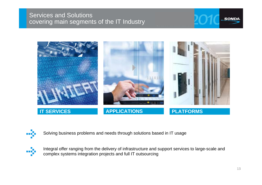# Services and Solutions covering main segments of the IT Industry





Solving business problems and needs through solutions based in IT usage



Integral offer ranging from the delivery of infrastructure and support services to large-scale and complex systems integration projects and full IT outsourcing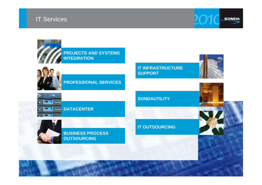



**PROJECTS AND SYSTEMS INTEGRATION**



### **PROFESSIONAL SERVICES**

**IT INFRASTRUCTURE SUPPORT**



**DATACENTER** 

**SONDAUTILITY** 



**BUSINESS PROCESS OUTSOURCING** 

#### **IT OUTSOURCING**

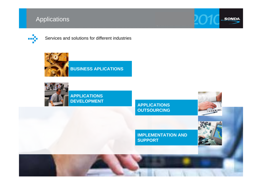# **Applications**



### Services and solutions for different industries



**BUSINESS APLICATIONS**



**APPLICATIONS DEVELOPMENT**

**APPLICATIONS OUTSOURCING**



**IMPLEMENTATION AND SUPPORT**



15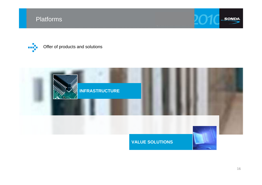

Offer of products and solutions



### **VALUE SOLUTIONS**

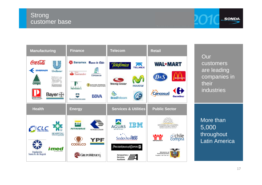# **Strong** customer base





**Our** customers are leading companies in their industries

More than 5,000 throughout Latin America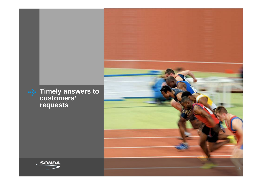



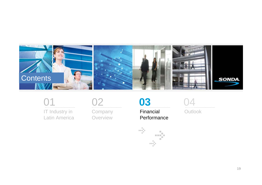



IT Industry in Latin America



**Company Overview** 



÷

Financial Performance

-5

ni).



Outlook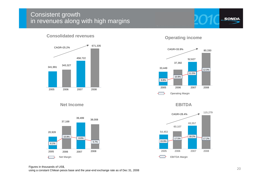# Consistent growth in revenues along with high margins

**SONDA** 



**Consolidated revenues**

**Net Income**



**Operating income**



**EBITDA**



#### Figures in thousands of US\$, using a constant Chilean pesos base and the year-end exchange rate as of Dec 31, 2008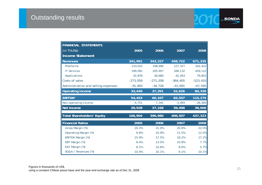| FINANCIAL STATEMENTS                |            |            |            |            |
|-------------------------------------|------------|------------|------------|------------|
| (in ThUS\$)                         | 2005       | 2006       | 2007       | 2008       |
| <b>Income Statement</b>             |            |            |            |            |
| <b>Revenues</b>                     | 341,991    | 343,327    | 458,722    | 671,335    |
| Platforms                           | 110,022    | 108,690    | 127,327    | 162,422    |
| <b>IT Services</b>                  | 199,091    | 205,957    | 289,132    | 429,112    |
| Applications                        | 32,878     | 28,680     | 42,263     | 79,801     |
| Costs of sales                      | $-273,059$ | $-271,208$ | $-364,405$ | $-523,410$ |
| Administrative and selling expenses | $-35,483$  | $-34,728$  | $-41,691$  | $-67,595$  |
| <b>Operating income</b>             | 33,449     | 37,391     | 52,626     | 80,330     |
| EBITDA*                             | 54,453     | 60,107     | 83,557     | 115,279    |
| Non-operating income                | $-4,751$   | 7,341      | $-3,093$   | $-28,383$  |
| Net Income                          | 20,928     | 37,168     | 39,498     | 38,008     |
| <b>Total Shareholders' Equity</b>   | 166,904    | 396,980    | 406,507    | 437,323    |
| <b>Financial Ratios</b>             | 2005       | 2006       | 2007       | 2008       |
| Gross Margin (%)                    | 20.2%      | 21.0%      | 20.6%      | 22.0%      |
| Operating Margin (%)                | 9.8%       | 10.9%      | 11.5%      | 12.0%      |
| EBITDA Margin (%)                   | 15.9%      | 17.5%      | 18.2%      | 17.2%      |
| EBT Margin (%)                      | 8.4%       | 13.0%      | 10.8%      | 7.7%       |
| EAT Margin (%)                      | 6.1%       | 10.8%      | 8.6%       | 5.7%       |
| SG&A / Revenues (%)                 | 10.4%      | 10.1%      | 9.1%       | 10.1%      |

 $2C$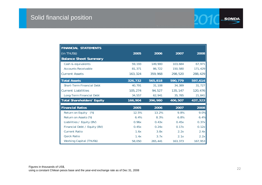| <b>FINANCIAL STATEMENTS</b>      |         |         |         |         |
|----------------------------------|---------|---------|---------|---------|
| $\vert$ (in ThUS\$)              | 2005    | 2006    | 2007    | 2008    |
| <b>Balance Sheet Summary</b>     |         |         |         |         |
| Cash & equivalents               | 59,193  | 149,900 | 103,684 | 67,971  |
| <b>Accounts Receivable</b>       | 81,371  | 86,722  | 150,580 | 171,429 |
| <b>Current Assets</b>            | 163,324 | 359,968 | 298,520 | 288,429 |
| <b>Total Assets</b>              | 326,732 | 565,818 | 590,779 | 597,614 |
| <b>Short-Term Financial Debt</b> | 40,791  | 31,108  | 34,389  | 31,727  |
| <b>Current Liabilities</b>       | 105,274 | 94,527  | 135,147 | 120,476 |
| Long-Term Financial Debt         | 34,557  | 62,941  | 35,785  | 21,841  |
| Total Shareholders' Equity       | 166,904 | 396,980 | 406,507 | 437,323 |
| <b>Financial Ratios</b>          | 2005    | 2006    | 2007    | 2008    |
| Return on Equity<br>(%)          | 12.5%   | 13.2%   | 9.8%    | 9.0%    |
| Return on Assets (%)             | 6.4%    | 8.3%    | 6.8%    | 6.4%    |
| Liabilities / Equity (BV)        | 0.96x   | 0.43x   | 0.45x   | 0.37x   |
| Financial Debt / Equity (BV)     | 0.45x   | 0.24x   | 0.17x   | 0.12x   |
| <b>Current Ratio</b>             | 1.6x    | 3.8x    | 2.2x    | 2.4x    |
| <b>Quick Ratio</b>               | 1.4x    | 3.7x    | 2.1x    | 2.2x    |
| <b>Working Capital (ThUS\$)</b>  | 58,050  | 265,441 | 163,373 | 167,953 |

SONDA.

 $\mathcal{H}_\mathbb{C}$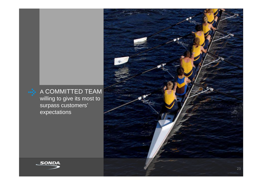# **A COMMITTED TEAM**

willing to give its most to surpass customers' expectations

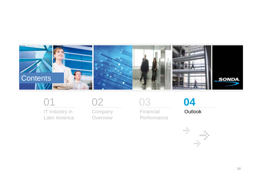



IT Industry in Latin America



**Company Overview** 



Financial Performance



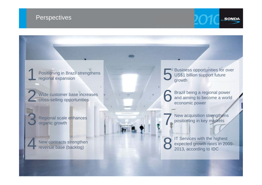# **Perspectives**

1

2

3

4

Positioning in Brazil strengthens regional expansion

Wide customer base increases cross-selling opportunities

Regional scale enhances organic growth

New contracts strengthen revenue base (backlog)

5 Business opportunities for over US\$1 billion support future growth

6 Brazil being a regional power and aiming to become a world economic power

> New acquisition strengthens positioning in key markets

7

8 IT Services with the highest expected growth rates in 2009- 2013, according to IDC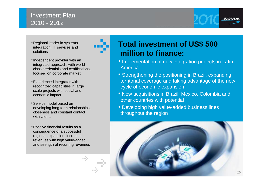# Investment Plan 2010 - 2012

- •Regional leader in systems integration, IT services and solutions
- •Independent provider with an integrated approach, with worldclass credentials and certifications, focused on corporate market
- •Experienced integrator with recognized capabilities in large scale projects with social and economic impact
- •Service model based on developing long term relationships, closeness and constant contact with clients
- •Positive financial results as a consequence of a successful regional expansion, increased revenues with high value-added and strength of recurring revenues

# **Total investment of US\$ 500 million to finance:**

- Implementation of new integration projects in Latin America
- Strengthening the positioning in Brazil, expanding territorial coverage and taking advantage of the new cycle of economic expansion
- New acquisitions in Brazil, Mexico, Colombia and other countries with potential
- Developing high value-added business lines throughout the region